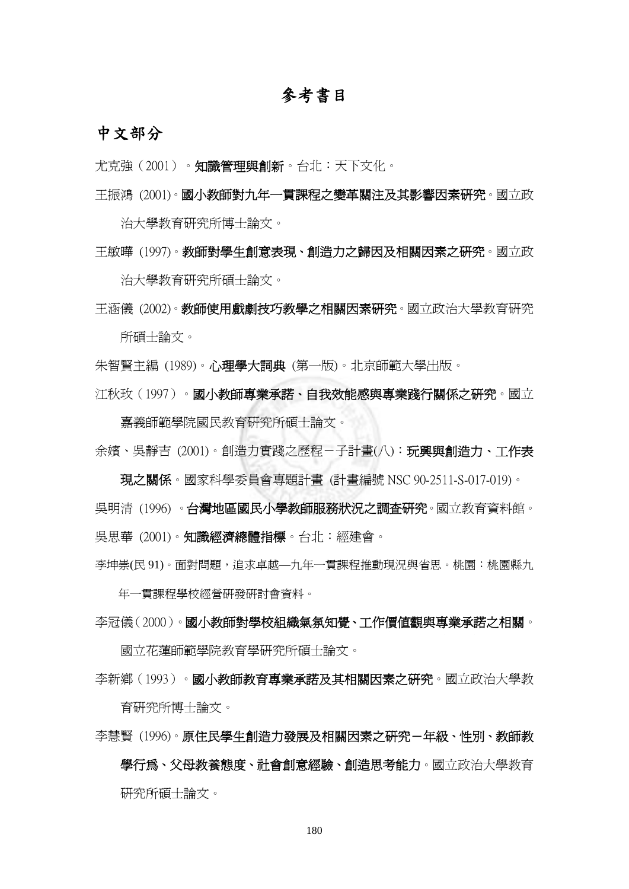## 參考書目

## 中文部分

- 尤克強(2001)。知識管理與創新。台北:天下文化。
- 王振鴻 (2001)。國小教師對九年一貫課程之變革關注及其影響因素研究。國立政 治大學教育研究所博士論文。
- 王敏曄 (1997)。教師對學生創意表現、創造力之歸因及相關因素之研究。國立政 治大學教育研究所碩士論文。

王涵儀 (2002)。教師使用戲劇技巧教學之相關因素研究。國立政治大學教育研究 所碩士論文。

朱智賢主編 (1989)。心理學大詞典 (第一版)。北京師範大學出版。

江秋玫(1997)。國小教師專業承諾、自我效能感與專業踐行關係之研究。國立

嘉義師範學院國民教育研究所碩士論文。 余嬪、吳靜吉 (2001)。創造力實踐之歷程-子計畫(八):**玩興與創造力、工作表** 

現之關係。國家科學委員會專題計畫 (計畫編號 NSC 90-2511-S-017-019)。 吳明清 (1996) 。台灣地區國民小學教師服務狀況之調查研究。國立教育資料館。 吳思華 (2001)。知識經濟總體指標。台北:經建會。

李坤崇(民 91)。面對問題,追求卓越—九年一貫課程推動現況與省思。桃園:桃園縣九

年一貫課程學校經營研發研討會資料。

李冠儀(2000)。國小教師對學校組織氣氛知覺、工作價值觀與專業承諾之相關。

國立花蓮師範學院教育學研究所碩士論文。

李新鄉(1993)。國小教師教育專業承諾及其相關因素之研究。國立政治大學教 育研究所博士論文。

李慧賢 (1996)。原住民學生創造力發展及相關因素之研究-年級、性別、教師教 學行為、父母教養態度、社會創意經驗、創造思考能力。國立政治大學教育 研究所碩士論文。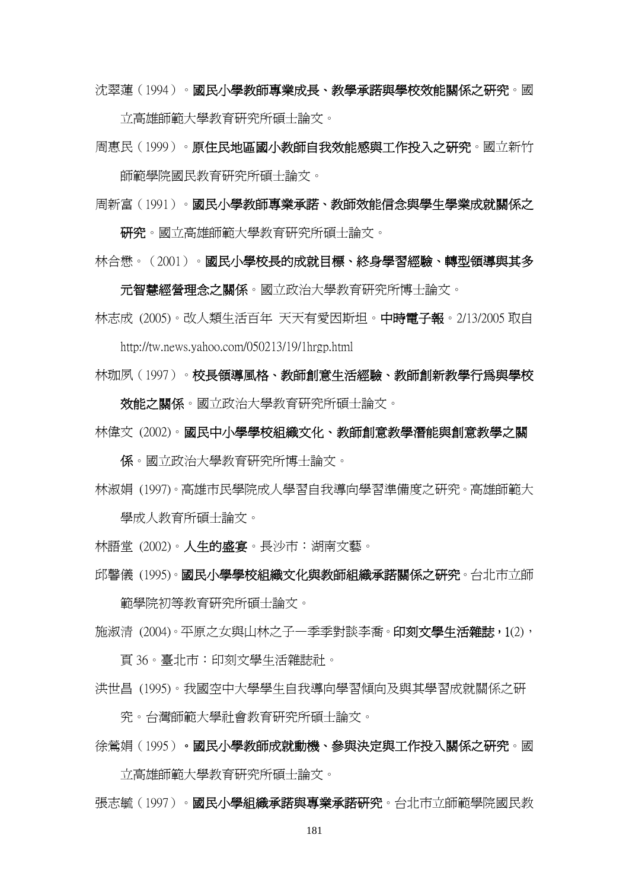沈翠蓮(1994)。國民小學教師專業成長、教學承諾與學校效能關係之研究。國

立高雄師範大學教育研究所碩士論文。

周惠民(1999)。原住民地區國小教師自我效能感與工作投入之研究。國立新竹 師範學院國民教育研究所碩士論文。

周新富(1991)。國民小學教師專業承諾、教師效能信念與學生學業成就關係之

研究,國立高雄師範大學教育研究所碩士論文。

林合懋。(2001)。國民小學校長的成就目標、終身學習經驗、轉型領導與其多

元智慧經營理念之關係。國立政治大學教育研究所博士論文。

林志成 (2005)。改人類生活百年 天天有愛因斯坦。中時電子報。2/13/2005 取自 http://tw.news.yahoo.com/050213/19/1hrgp.html

林珈夙(1997)。校長領導風格、教師創意生活經驗、教師創新教學行為與學校

效能之關係。國立政治大學教育研究所碩士論文。

林偉文 (2002)。國民中小學學校組織文化、教師創意教學潛能與創意教學之關

係。國立政治大學教育研究所博士論文。

林淑娟 (1997)。高雄市民學院成人學習自我導向學習準備度之研究。高雄師範大 學成人教育所碩士論文。

林語堂 (2002)。人生的盛宴。長沙市:湖南文藝。

邱馨儀 (1995)。國民小學學校組織文化與教師組織承諾關係之研究。台北市立師

範學院初等教育研究所碩士論文。

施淑清 (2004)。平原之女與山林之子—季季對談李喬。印刻文學生活雜誌,1(2),

頁 36。臺北市:印刻文學生活雜誌社。

洪世昌 (1995)。我國空中大學學生自我導向學習傾向及與其學習成就關係之研

究。台灣師範大學社會教育研究所碩士論文。

徐鶯娟(1995)。國民小學教師成就動機、參與決定與工作投入關係之研究。國

立高雄師範大學教育研究所碩士論文。

張志毓(1997)。國民小學組織承諾與專業承諾研究。台北市立師範學院國民教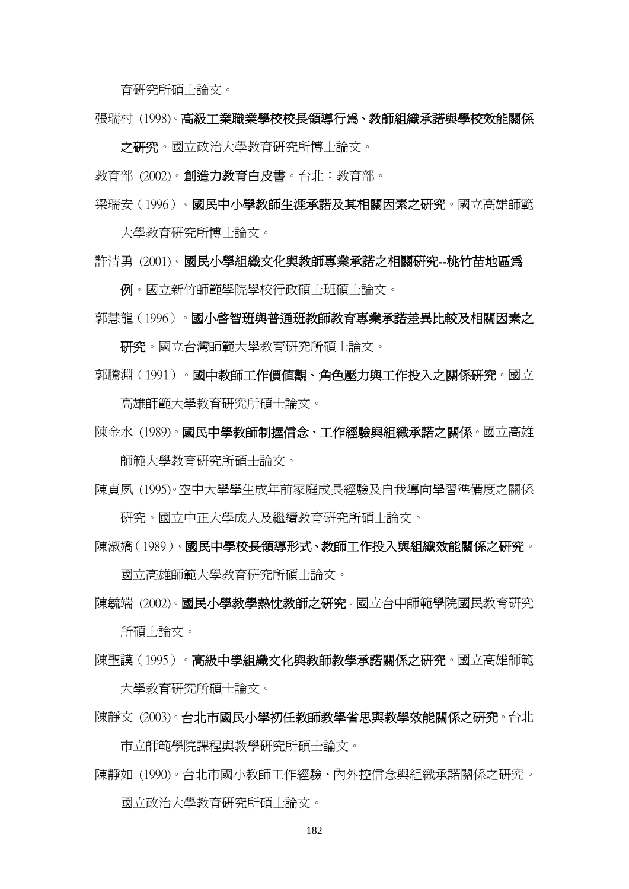育研究所碩士論文。

張瑞村 (1998)。高級工業職業學校校長領導行為、教師組織承諾與學校效能關係

之研究。國立政治大學教育研究所博士論文。

教育部 (2002)。創造力教育白皮書。台北:教育部。

梁瑞安(1996)。國民中小學教師生涯承諾及其相關因素之研究。國立高雄師範

大學教育研究所博士論文。

許清勇 (2001)。國民小學組織文化與教師專業承諾之相關研究--桃竹苗地區為

例。國立新竹師範學院學校行政碩士班碩士論文。

郭慧龍(1996)。國小啟智班與普通班教師教育專業承諾差異比較及相關因素之

研究所、同立台灣師範大學教育研究所碩士論文。

- 郭騰淵(1991)。國中教師工作價值觀、角色壓力與工作投入之關係研究。國立 高雄師範大學教育研究所碩士論文。
- 陳金水 (1989)。國民中學教師制握信念、工作經驗與組織承諾之關係。國立高雄 師範大學教育研究所碩士論文。
- 陳貞夙 (1995)。空中大學學生成年前家庭成長經驗及自我導向學習準備度之關係 研究。國立中正大學成人及繼續教育研究所碩士論文。

陳淑嬌(1989)。國民中學校長領導形式、教師工作投入與組織效能關係之研究。

國立高雄師範大學教育研究所碩士論文。

陳毓端 (2002)。國民小學教學熱忱教師之研究。國立台中師範學院國民教育研究 所碩士論文。

陳聖謨(1995)。**高級中學組織文化與教師教學承諾關係之研究**。國立高雄師範 大學教育研究所碩士論文。

陳靜文 (2003)。台北市國民小學初任教師教學省思與教學效能關係之研究。台北

市立師範學院課程與教學研究所碩士論文。

陳靜如 (1990)。台北市國小教師工作經驗、內外控信念與組織承諾關係之研究。 國立政治大學教育研究所碩士論文。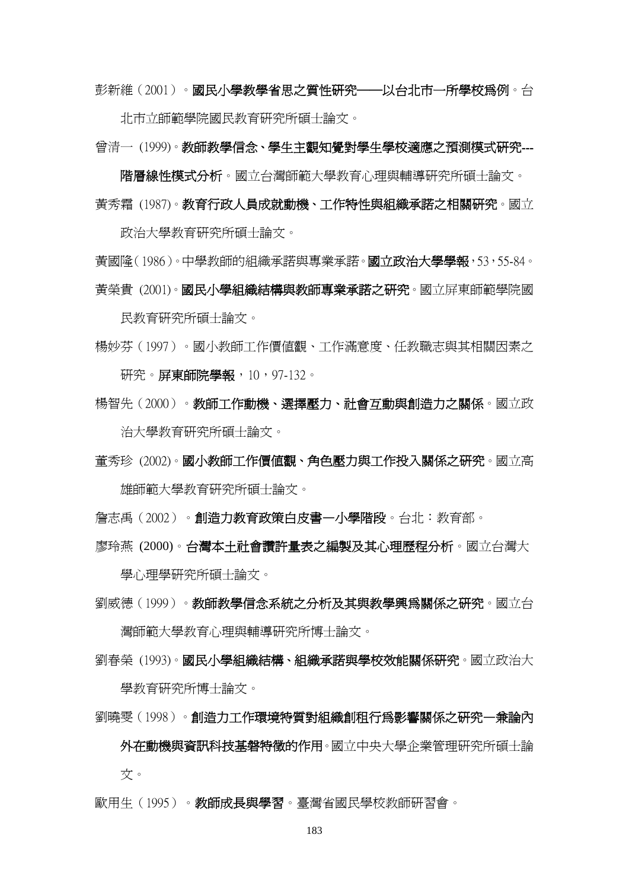彭新維(2001)。國民小學教學省思之質性研究──以台北市一所學校為例。台

北市立師範學院國民教育研究所碩士論文。

曾清一 (1999)。教師教學信念、學生主觀知覺對學生學校滴應之預測模式研究---

階層線性模式分析。國立台灣師範大學教育心理與輔導研究所碩士論文。 黃秀霜 (1987)。教育行政人員成就動機、工作特性與組織承諾之相關研究。國立

政治大學教育研究所碩士論文。

黃國隆(1986)。中學教師的組織承諾與專業承諾。**國立政治大學學報**, 53, 55-84。 黃榮貴 (2001)。國民小學組織結構與教師專業承諾之研究。國立屏東師範學院國

民教育研究所碩士論文。

- 楊妙芬(1997)。國小教師工作價值觀、工作滿意度、任教職志與其相關因素之 研究。屏東師院學報,10,97-132。
- 楊智先(2000)。教師工作動機、選擇壓力、社會互動與創造力之關係。國立政 治大學教育研究所碩士論文。
- 董秀珍 (2002)。國小教師工作價值觀、角色壓力與工作投入關係之研究。國立高 雄師範大學教育研究所碩士論文。
- 詹志禹(2002)。創**浩力教育政策白皮書—小學階段**。台北:教育部。
- 廖玲燕 (2000)。台灣本土社會讚許量表之編製及其心理歷程分析。國立台灣大

學心理學研究所碩士論文。

- 劉威德(1999)。教師教學信念系統之分析及其與教學興為關係之研究。國立台 灣師範大學教育心理與輔導研究所博士論文。
- 劉春榮 (1993)。國民小學組織結構、組織承諾與學校效能關係研究。國立政治大 學教育研究所博士論文。
- 劉曉雯(1998)。創造力工作環境特質對組織創租行為影響關係之研究—兼論內 外在動機與資訊科技基磐特徵的作用。國立中央大學企業管理研究所碩士論 文。
- 歐用生(1995)。教師成長與學習。臺灣省國民學校教師研習會。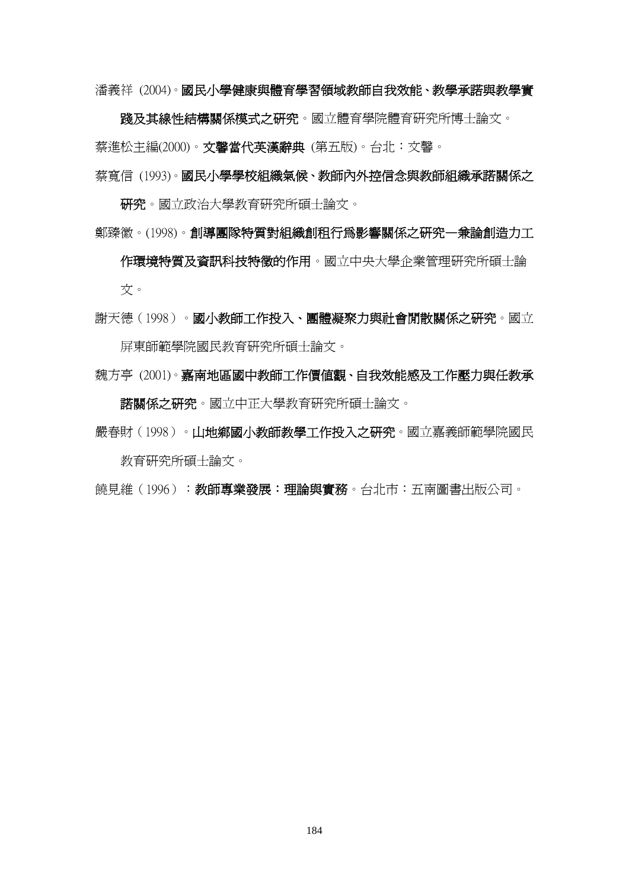潘義祥 (2004)。國民小學健康與體育學習領域教師自我效能、教學承諾與教學實

踐及其線性結構關係模式之研究。國立體育學院體育研究所博士論文。 蔡進松主編(2000)。文馨當代英漢辭典 (第五版)。台北:文馨。

蔡寬信 (1993)。國民小學學校組織氣候、教師內外控信念與教師組織承諾關係之

研究。國立政治大學教育研究所碩士論文。

鄭臻徽。(1998)。創導團隊特質對組織創租行為影響關係之研究—兼論創造力工

作環境特質及資訊科技特徵的作用。國立中央大學企業管理研究所碩士論 文。

謝天德(1998)。國小教師工作投入、團體凝聚力與社會閒散關係之研究。國立 屏東師範學院國民教育研究所碩士論文。

魏方亭 (2001)。嘉南地區國中教師工作價值觀、自我效能感及工作壓力與任教承 諾關係之研究。國立中正大學教育研究所碩士論文。

嚴春財(1998)。山**地鄉國小教師教學工作投入之研究**。國立嘉義師範學院國民

教育研究所碩士論文。

饒見維(1996):教師專業發展:理論與實務。台北市:五南圖書出版公司。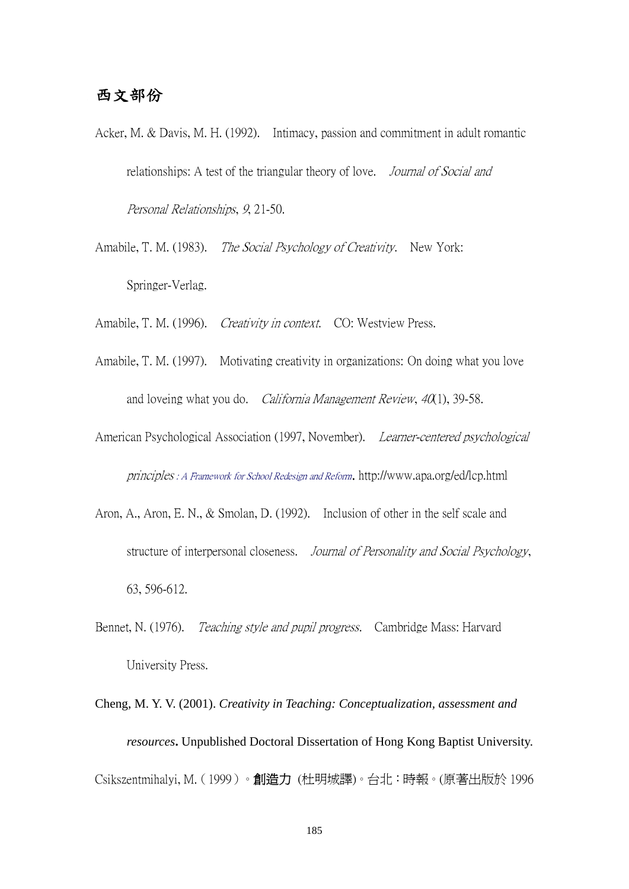## 西文部份

- Acker, M. & Davis, M. H. (1992). Intimacy, passion and commitment in adult romantic relationships: A test of the triangular theory of love. *Journal of Social and* Personal Relationships, 9, 21-50.
- Amabile, T. M. (1983). The Social Psychology of Creativity. New York: Springer-Verlag.

Amabile, T. M. (1996). Creativity in context. CO: Westview Press.

- Amabile, T. M. (1997). Motivating creativity in organizations: On doing what you love and loveing what you do. *California Management Review*,  $40(1)$ , 39-58.
- American Psychological Association (1997, November). Learner-centered psychological principles : A Framework for School Redesign and Reform. http://www.apa.org/ed/lcp.html
- Aron, A., Aron, E. N., & Smolan, D. (1992). Inclusion of other in the self scale and structure of interpersonal closeness. Journal of Personality and Social Psychology, 63, 596-612.
- Bennet, N. (1976). *Teaching style and pupil progress.* Cambridge Mass: Harvard University Press.
- Cheng, M. Y. V. (2001). *Creativity in Teaching: Conceptualization, assessment and resources***.** Unpublished Doctoral Dissertation of Hong Kong Baptist University. Csikszentmihalyi, M.(1999)。創造力 (杜明城譯)。台北:時報。(原著出版於 1996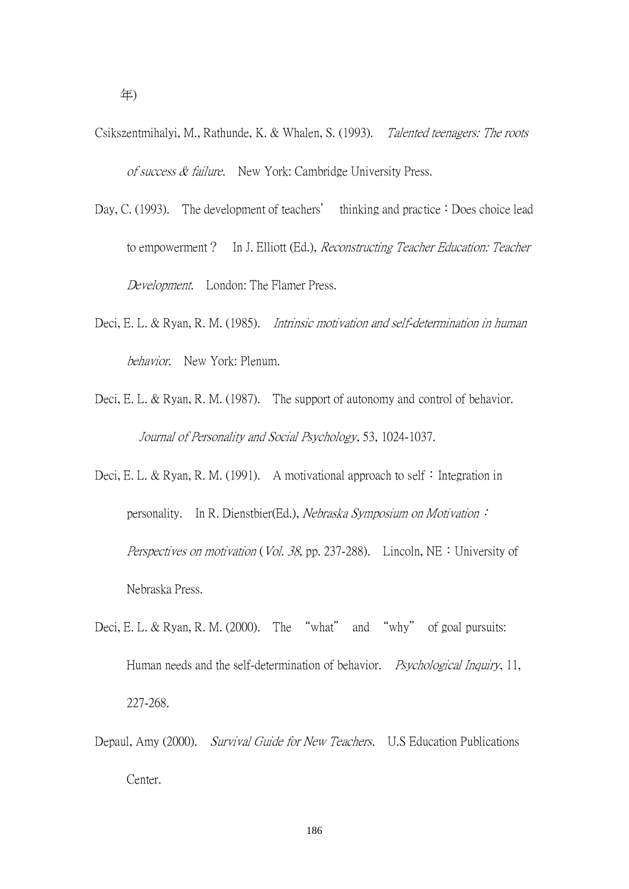- Csikszentmihalyi, M., Rathunde, K. & Whalen, S. (1993). Talented teenagers: The roots of success & failure. New York: Cambridge University Press.
- Day, C. (1993). The development of teachers' thinking and practice: Does choice lead to empowerment? In J. Elliott (Ed.), Reconstructing Teacher Education: Teacher Development. London: The Flamer Press.
- Deci, E. L. & Ryan, R. M. (1985). Intrinsic motivation and self-determination in human behavior. New York: Plenum.
- Deci, E. L. & Ryan, R. M. (1987). The support of autonomy and control of behavior. Journal of Personality and Social Psychology, 53, 1024-1037.
- Deci, E. L. & Ryan, R. M. (1991). A motivational approach to self: Integration in personality. In R. Dienstbier(Ed.), Nebraska Symposium on Motivation: Perspectives on motivation (Vol. 38, pp. 237-288). Lincoln, NE : University of Nebraska Press.
- Deci, E. L. & Ryan, R. M. (2000). The "what" and "why" of goal pursuits: Human needs and the self-determination of behavior. *Psychological Inquiry*, 11, 227-268.
- Depaul, Amy (2000). Survival Guide for New Teachers. U.S Education Publications Center.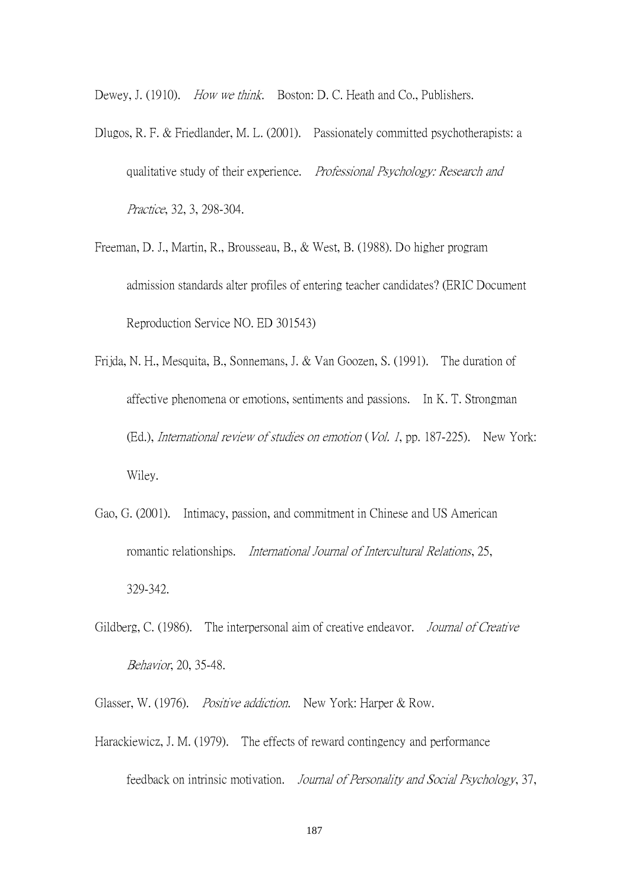Dewey, J. (1910). How we think. Boston: D. C. Heath and Co., Publishers.

- Dlugos, R. F. & Friedlander, M. L. (2001). Passionately committed psychotherapists: a qualitative study of their experience. Professional Psychology: Research and Practice, 32, 3, 298-304.
- Freeman, D. J., Martin, R., Brousseau, B., & West, B. (1988). Do higher program admission standards alter profiles of entering teacher candidates? (ERIC Document Reproduction Service NO. ED 301543)
- Frijda, N. H., Mesquita, B., Sonnemans, J. & Van Goozen, S. (1991). The duration of affective phenomena or emotions, sentiments and passions. In K. T. Strongman (Ed.), International review of studies on emotion (Vol. 1, pp. 187-225). New York: Wiley.
- Gao, G. (2001). Intimacy, passion, and commitment in Chinese and US American romantic relationships. International Journal of Intercultural Relations, 25, 329-342.
- Gildberg, C. (1986). The interpersonal aim of creative endeavor. *Journal of Creative* Behavior, 20, 35-48.
- Glasser, W. (1976). *Positive addiction*. New York: Harper & Row.
- Harackiewicz, J. M. (1979). The effects of reward contingency and performance

feedback on intrinsic motivation. Journal of Personality and Social Psychology, 37,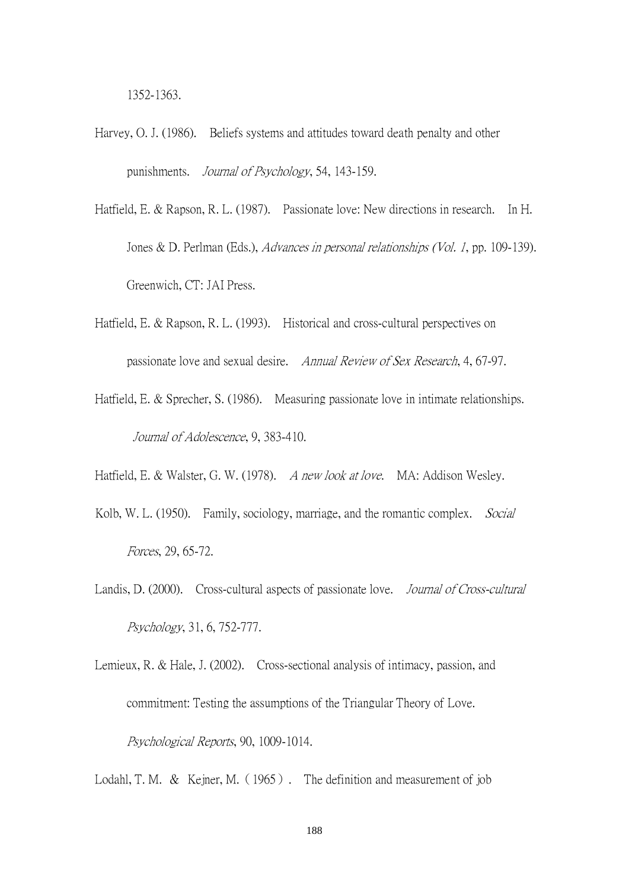1352-1363.

- Harvey, O. J. (1986). Beliefs systems and attitudes toward death penalty and other punishments. Journal of Psychology, 54, 143-159.
- Hatfield, E. & Rapson, R. L. (1987). Passionate love: New directions in research. In H. Jones & D. Perlman (Eds.), Advances in personal relationships (Vol. 1, pp. 109-139). Greenwich, CT: JAI Press.
- Hatfield, E. & Rapson, R. L. (1993). Historical and cross-cultural perspectives on passionate love and sexual desire. Annual Review of Sex Research, 4, 67-97.
- Hatfield, E. & Sprecher, S. (1986). Measuring passionate love in intimate relationships. Journal of Adolescence, 9, 383-410.
- Hatfield, E. & Walster, G. W. (1978). A new look at love. MA: Addison Wesley.
- Kolb, W. L. (1950). Family, sociology, marriage, and the romantic complex. Social Forces, 29, 65-72.
- Landis, D. (2000). Cross-cultural aspects of passionate love. *Journal of Cross-cultural* Psychology, 31, 6, 752-777.
- Lemieux, R. & Hale, J. (2002). Cross-sectional analysis of intimacy, passion, and commitment: Testing the assumptions of the Triangular Theory of Love. Psychological Reports, 90, 1009-1014.

Lodahl, T. M. & Kejner, M. (1965). The definition and measurement of job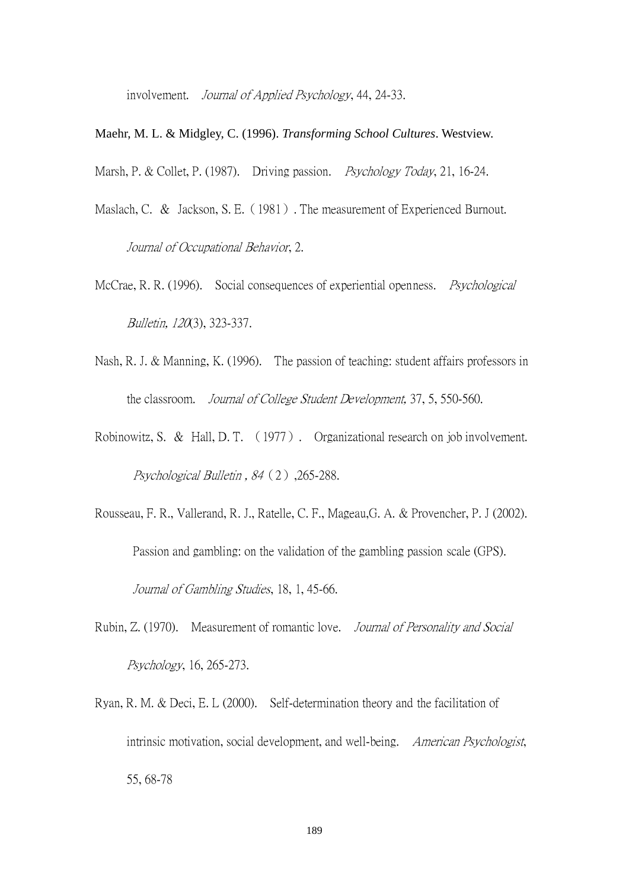involvement. Journal of Applied Psychology, 44, 24-33.

Maehr, M. L. & Midgley, C. (1996). *Transforming School Cultures*. Westview.

Marsh, P. & Collet, P. (1987). Driving passion. *Psychology Today*, 21, 16-24.

- Maslach, C. & Jackson, S. E. (1981). The measurement of Experienced Burnout. Journal of Occupational Behavior, 2.
- McCrae, R. R. (1996). Social consequences of experiential openness. *Psychological* Bulletin, 120(3), 323-337.
- Nash, R. J. & Manning, K. (1996). The passion of teaching: student affairs professors in the classroom. Journal of College Student Development, 37, 5, 550-560.
- Robinowitz, S. & Hall, D. T. (1977). Organizational research on job involvement. Psychological Bulletin, 84 (2), 265-288.
- Rousseau, F. R., Vallerand, R. J., Ratelle, C. F., Mageau,G. A. & Provencher, P. J (2002). Passion and gambling: on the validation of the gambling passion scale (GPS). Journal of Gambling Studies, 18, 1, 45-66.
- Rubin, Z. (1970). Measurement of romantic love. Journal of Personality and Social Psychology, 16, 265-273.
- Ryan, R. M. & Deci, E. L (2000). Self-determination theory and the facilitation of intrinsic motivation, social development, and well-being. American Psychologist, 55, 68-78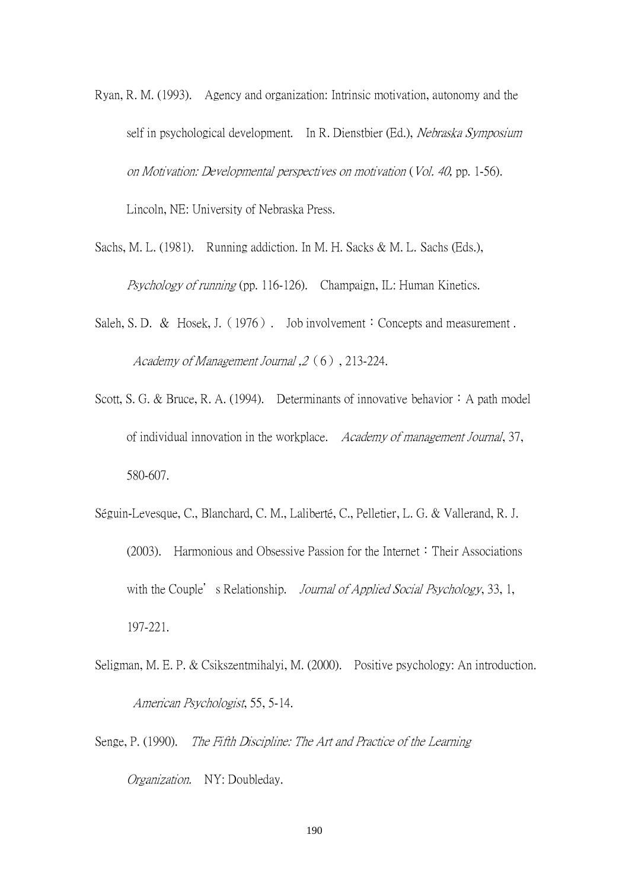- Ryan, R. M. (1993). Agency and organization: Intrinsic motivation, autonomy and the self in psychological development. In R. Dienstbier (Ed.), Nebraska Symposium on Motivation: Developmental perspectives on motivation (Vol. 40, pp. 1-56). Lincoln, NE: University of Nebraska Press.
- Sachs, M. L. (1981). Running addiction. In M. H. Sacks & M. L. Sachs (Eds.), Psychology of running (pp. 116-126). Champaign, IL: Human Kinetics.
- Saleh, S. D. & Hosek, J. (1976). Job involvement: Concepts and measurement. Academy of Management Journal ,2(6), 213-224.
- Scott, S. G. & Bruce, R. A. (1994). Determinants of innovative behavior: A path model of individual innovation in the workplace. Academy of management Journal, 37, 580-607.
- Séguin-Levesque, C., Blanchard, C. M., Laliberté, C., Pelletier, L. G. & Vallerand, R. J. (2003). Harmonious and Obsessive Passion for the Internet: Their Associations with the Couple's Relationship. *Journal of Applied Social Psychology*, 33, 1, 197-221.
- Seligman, M. E. P. & Csikszentmihalyi, M. (2000). Positive psychology: An introduction. American Psychologist, 55, 5-14.
- Senge, P. (1990). The Fifth Discipline: The Art and Practice of the Learning Organization. NY: Doubleday.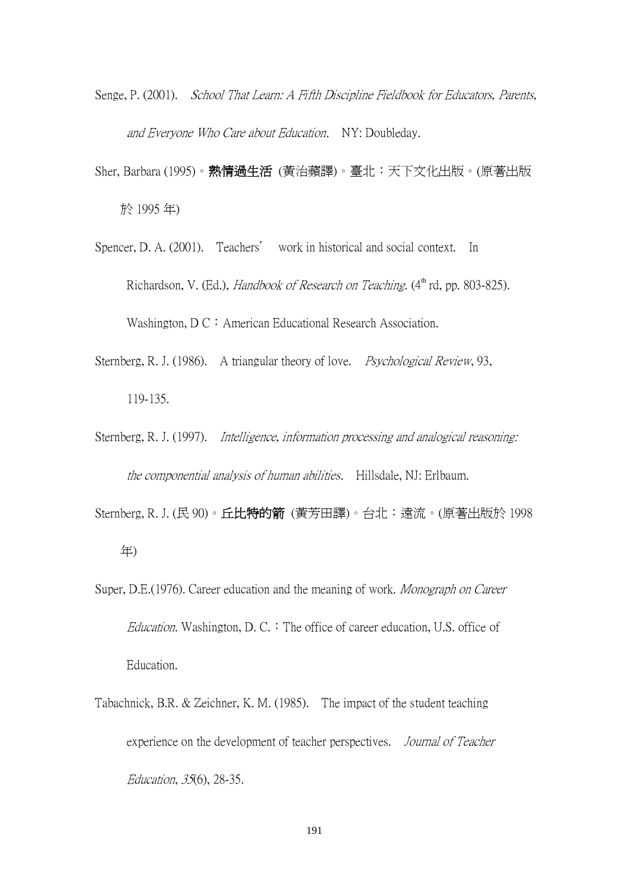- Senge, P. (2001). *School That Learn: A Fifth Discipline Fieldbook for Educators, Parents,* and Everyone Who Care about Education. NY: Doubleday.
- Sher, Barbara (1995)。熱情過生活 (黃治蘋譯)。臺北:天下文化出版。(原著出版 於 1995 年)
- Spencer, D. A. (2001). Teachers' work in historical and social context. In Richardson, V. (Ed.), Handbook of Research on Teaching.  $(4<sup>th</sup>$  rd, pp. 803-825). Washington,  $DC:$  American Educational Research Association.
- Sternberg, R. J. (1986). A triangular theory of love. *Psychological Review*, 93, 119-135.
- Sternberg, R. J. (1997). Intelligence, information processing and analogical reasoning: the componential analysis of human abilities. Hillsdale, NJ: Erlbaum.
- Sternberg, R. J. (民 90)。**丘比特的箭** (黃芳田譯)。台北: 遠流。(原著出版於 1998 年)
- Super, D.E.(1976). Career education and the meaning of work. Monograph on Career *Education*. Washington, D. C.  $\cdot$  The office of career education, U.S. office of Education.
- Tabachnick, B.R. & Zeichner, K. M. (1985). The impact of the student teaching experience on the development of teacher perspectives. Journal of Teacher Education, 35(6), 28-35.